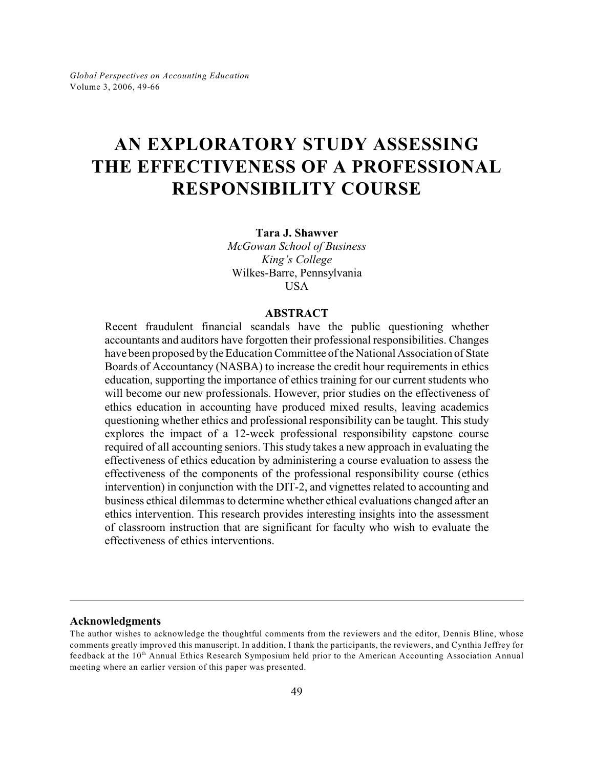# **AN EXPLORATORY STUDY ASSESSING THE EFFECTIVENESS OF A PROFESSIONAL RESPONSIBILITY COURSE**

**Tara J. Shawver**

*McGowan School of Business King's College* Wilkes-Barre, Pennsylvania USA

#### **ABSTRACT**

Recent fraudulent financial scandals have the public questioning whether accountants and auditors have forgotten their professional responsibilities. Changes have been proposed by the Education Committee of the National Association of State Boards of Accountancy (NASBA) to increase the credit hour requirements in ethics education, supporting the importance of ethics training for our current students who will become our new professionals. However, prior studies on the effectiveness of ethics education in accounting have produced mixed results, leaving academics questioning whether ethics and professional responsibility can be taught. This study explores the impact of a 12-week professional responsibility capstone course required of all accounting seniors. This study takes a new approach in evaluating the effectiveness of ethics education by administering a course evaluation to assess the effectiveness of the components of the professional responsibility course (ethics intervention) in conjunction with the DIT-2, and vignettes related to accounting and business ethical dilemmas to determine whether ethical evaluations changed after an ethics intervention. This research provides interesting insights into the assessment of classroom instruction that are significant for faculty who wish to evaluate the effectiveness of ethics interventions.

#### **Acknowledgments**

The author wishes to acknowledge the thoughtful comments from the reviewers and the editor, Dennis Bline, whose comments greatly improved this manuscript. In addition, I thank the participants, the reviewers, and Cynthia Jeffrey for feedback at the 10<sup>th</sup> Annual Ethics Research Symposium held prior to the American Accounting Association Annual meeting where an earlier version of this paper was presented.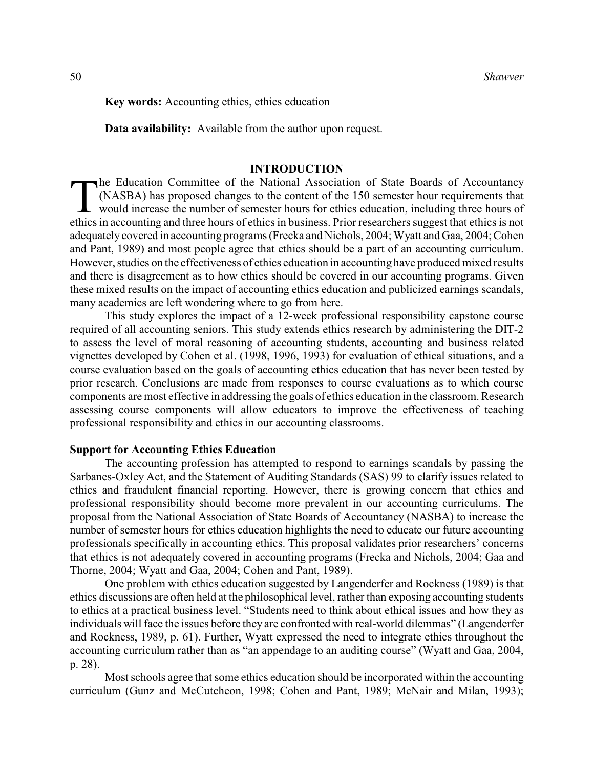**Key words:** Accounting ethics, ethics education

**Data availability:** Available from the author upon request.

### **INTRODUCTION**

 $\prod_{\text{ethics}}$ he Education Committee of the National Association of State Boards of Accountancy (NASBA) has proposed changes to the content of the 150 semester hour requirements that would increase the number of semester hours for ethics education, including three hours of ethics in accounting and three hours of ethics in business. Prior researchers suggest that ethics is not adequately covered in accounting programs (Frecka and Nichols, 2004; Wyatt and Gaa, 2004; Cohen and Pant, 1989) and most people agree that ethics should be a part of an accounting curriculum. However, studies on the effectiveness of ethics education in accounting have produced mixed results and there is disagreement as to how ethics should be covered in our accounting programs. Given these mixed results on the impact of accounting ethics education and publicized earnings scandals, many academics are left wondering where to go from here.

This study explores the impact of a 12-week professional responsibility capstone course required of all accounting seniors. This study extends ethics research by administering the DIT-2 to assess the level of moral reasoning of accounting students, accounting and business related vignettes developed by Cohen et al. (1998, 1996, 1993) for evaluation of ethical situations, and a course evaluation based on the goals of accounting ethics education that has never been tested by prior research. Conclusions are made from responses to course evaluations as to which course components are most effective in addressing the goals of ethics education in the classroom. Research assessing course components will allow educators to improve the effectiveness of teaching professional responsibility and ethics in our accounting classrooms.

### **Support for Accounting Ethics Education**

The accounting profession has attempted to respond to earnings scandals by passing the Sarbanes-Oxley Act, and the Statement of Auditing Standards (SAS) 99 to clarify issues related to ethics and fraudulent financial reporting. However, there is growing concern that ethics and professional responsibility should become more prevalent in our accounting curriculums. The proposal from the National Association of State Boards of Accountancy (NASBA) to increase the number of semester hours for ethics education highlights the need to educate our future accounting professionals specifically in accounting ethics. This proposal validates prior researchers' concerns that ethics is not adequately covered in accounting programs (Frecka and Nichols, 2004; Gaa and Thorne, 2004; Wyatt and Gaa, 2004; Cohen and Pant, 1989).

One problem with ethics education suggested by Langenderfer and Rockness (1989) is that ethics discussions are often held at the philosophical level, rather than exposing accounting students to ethics at a practical business level. "Students need to think about ethical issues and how they as individuals will face the issues before they are confronted with real-world dilemmas" (Langenderfer and Rockness, 1989, p. 61). Further, Wyatt expressed the need to integrate ethics throughout the accounting curriculum rather than as "an appendage to an auditing course" (Wyatt and Gaa, 2004, p. 28).

Most schools agree that some ethics education should be incorporated within the accounting curriculum (Gunz and McCutcheon, 1998; Cohen and Pant, 1989; McNair and Milan, 1993);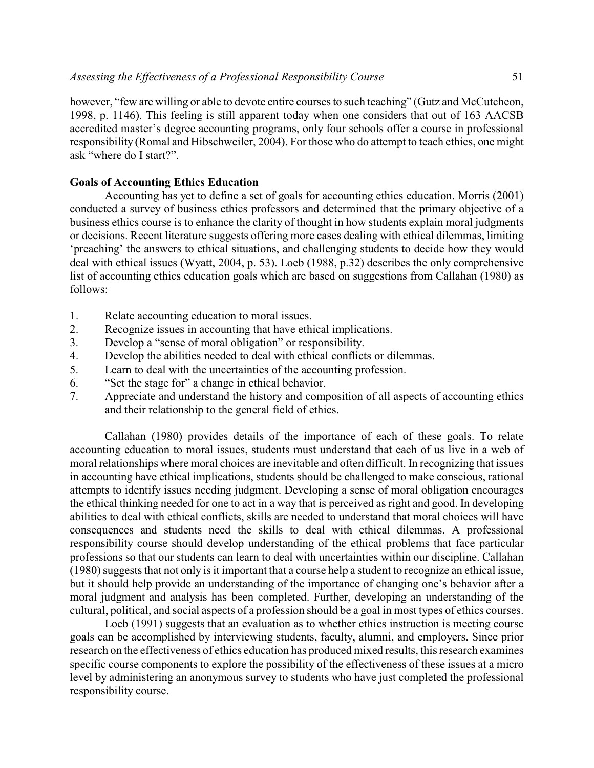however, "few are willing or able to devote entire courses to such teaching" (Gutz and McCutcheon, 1998, p. 1146). This feeling is still apparent today when one considers that out of 163 AACSB accredited master's degree accounting programs, only four schools offer a course in professional responsibility (Romal and Hibschweiler, 2004). For those who do attempt to teach ethics, one might ask "where do I start?".

### **Goals of Accounting Ethics Education**

Accounting has yet to define a set of goals for accounting ethics education. Morris (2001) conducted a survey of business ethics professors and determined that the primary objective of a business ethics course is to enhance the clarity of thought in how students explain moral judgments or decisions. Recent literature suggests offering more cases dealing with ethical dilemmas, limiting 'preaching' the answers to ethical situations, and challenging students to decide how they would deal with ethical issues (Wyatt, 2004, p. 53). Loeb (1988, p.32) describes the only comprehensive list of accounting ethics education goals which are based on suggestions from Callahan (1980) as follows:

- 1. Relate accounting education to moral issues.
- 2. Recognize issues in accounting that have ethical implications.
- 3. Develop a "sense of moral obligation" or responsibility.
- 4. Develop the abilities needed to deal with ethical conflicts or dilemmas.
- 5. Learn to deal with the uncertainties of the accounting profession.
- 6. "Set the stage for" a change in ethical behavior.
- 7. Appreciate and understand the history and composition of all aspects of accounting ethics and their relationship to the general field of ethics.

Callahan (1980) provides details of the importance of each of these goals. To relate accounting education to moral issues, students must understand that each of us live in a web of moral relationships where moral choices are inevitable and often difficult. In recognizing that issues in accounting have ethical implications, students should be challenged to make conscious, rational attempts to identify issues needing judgment. Developing a sense of moral obligation encourages the ethical thinking needed for one to act in a way that is perceived as right and good. In developing abilities to deal with ethical conflicts, skills are needed to understand that moral choices will have consequences and students need the skills to deal with ethical dilemmas. A professional responsibility course should develop understanding of the ethical problems that face particular professions so that our students can learn to deal with uncertainties within our discipline. Callahan (1980) suggests that not only is it important that a course help a student to recognize an ethical issue, but it should help provide an understanding of the importance of changing one's behavior after a moral judgment and analysis has been completed. Further, developing an understanding of the cultural, political, and social aspects of a profession should be a goal in most types of ethics courses.

Loeb (1991) suggests that an evaluation as to whether ethics instruction is meeting course goals can be accomplished by interviewing students, faculty, alumni, and employers. Since prior research on the effectiveness of ethics education has produced mixed results, this research examines specific course components to explore the possibility of the effectiveness of these issues at a micro level by administering an anonymous survey to students who have just completed the professional responsibility course.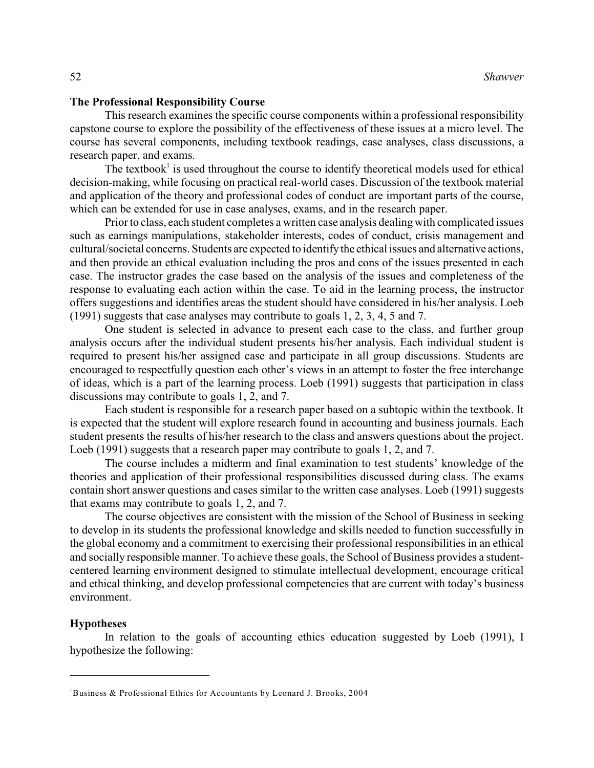### **The Professional Responsibility Course**

This research examines the specific course components within a professional responsibility capstone course to explore the possibility of the effectiveness of these issues at a micro level. The course has several components, including textbook readings, case analyses, class discussions, a research paper, and exams.

The textbook<sup>1</sup> is used throughout the course to identify theoretical models used for ethical decision-making, while focusing on practical real-world cases. Discussion of the textbook material and application of the theory and professional codes of conduct are important parts of the course, which can be extended for use in case analyses, exams, and in the research paper.

Prior to class, each student completes a written case analysis dealing with complicated issues such as earnings manipulations, stakeholder interests, codes of conduct, crisis management and cultural/societal concerns. Students are expected to identify the ethical issues and alternative actions, and then provide an ethical evaluation including the pros and cons of the issues presented in each case. The instructor grades the case based on the analysis of the issues and completeness of the response to evaluating each action within the case. To aid in the learning process, the instructor offers suggestions and identifies areas the student should have considered in his/her analysis. Loeb (1991) suggests that case analyses may contribute to goals 1, 2, 3, 4, 5 and 7.

One student is selected in advance to present each case to the class, and further group analysis occurs after the individual student presents his/her analysis. Each individual student is required to present his/her assigned case and participate in all group discussions. Students are encouraged to respectfully question each other's views in an attempt to foster the free interchange of ideas, which is a part of the learning process. Loeb (1991) suggests that participation in class discussions may contribute to goals 1, 2, and 7.

Each student is responsible for a research paper based on a subtopic within the textbook. It is expected that the student will explore research found in accounting and business journals. Each student presents the results of his/her research to the class and answers questions about the project. Loeb (1991) suggests that a research paper may contribute to goals 1, 2, and 7.

The course includes a midterm and final examination to test students' knowledge of the theories and application of their professional responsibilities discussed during class. The exams contain short answer questions and cases similar to the written case analyses. Loeb (1991) suggests that exams may contribute to goals 1, 2, and 7.

The course objectives are consistent with the mission of the School of Business in seeking to develop in its students the professional knowledge and skills needed to function successfully in the global economy and a commitment to exercising their professional responsibilities in an ethical and socially responsible manner. To achieve these goals, the School of Business provides a studentcentered learning environment designed to stimulate intellectual development, encourage critical and ethical thinking, and develop professional competencies that are current with today's business environment.

#### **Hypotheses**

In relation to the goals of accounting ethics education suggested by Loeb (1991), I hypothesize the following:

<sup>&</sup>lt;sup>1</sup>Business & Professional Ethics for Accountants by Leonard J. Brooks, 2004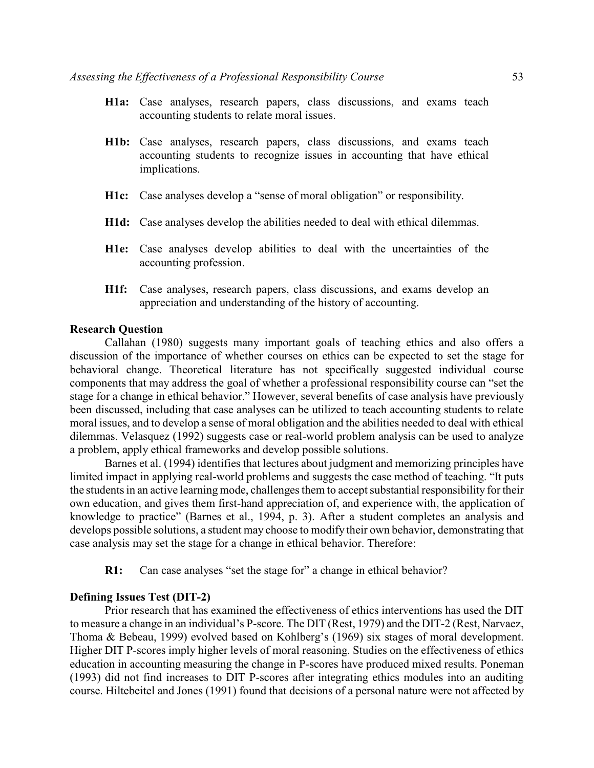- **H1a:** Case analyses, research papers, class discussions, and exams teach accounting students to relate moral issues.
- **H1b:** Case analyses, research papers, class discussions, and exams teach accounting students to recognize issues in accounting that have ethical implications.
- **H1c:** Case analyses develop a "sense of moral obligation" or responsibility.
- **H1d:** Case analyses develop the abilities needed to deal with ethical dilemmas.
- **H1e:** Case analyses develop abilities to deal with the uncertainties of the accounting profession.
- **H1f:** Case analyses, research papers, class discussions, and exams develop an appreciation and understanding of the history of accounting.

#### **Research Question**

Callahan (1980) suggests many important goals of teaching ethics and also offers a discussion of the importance of whether courses on ethics can be expected to set the stage for behavioral change. Theoretical literature has not specifically suggested individual course components that may address the goal of whether a professional responsibility course can "set the stage for a change in ethical behavior." However, several benefits of case analysis have previously been discussed, including that case analyses can be utilized to teach accounting students to relate moral issues, and to develop a sense of moral obligation and the abilities needed to deal with ethical dilemmas. Velasquez (1992) suggests case or real-world problem analysis can be used to analyze a problem, apply ethical frameworks and develop possible solutions.

Barnes et al. (1994) identifies that lectures about judgment and memorizing principles have limited impact in applying real-world problems and suggests the case method of teaching. "It puts the students in an active learning mode, challenges them to accept substantial responsibility for their own education, and gives them first-hand appreciation of, and experience with, the application of knowledge to practice" (Barnes et al., 1994, p. 3). After a student completes an analysis and develops possible solutions, a student may choose to modify their own behavior, demonstrating that case analysis may set the stage for a change in ethical behavior. Therefore:

**R1:** Can case analyses "set the stage for" a change in ethical behavior?

### **Defining Issues Test (DIT-2)**

Prior research that has examined the effectiveness of ethics interventions has used the DIT to measure a change in an individual's P-score. The DIT (Rest, 1979) and the DIT-2 (Rest, Narvaez, Thoma & Bebeau, 1999) evolved based on Kohlberg's (1969) six stages of moral development. Higher DIT P-scores imply higher levels of moral reasoning. Studies on the effectiveness of ethics education in accounting measuring the change in P-scores have produced mixed results. Poneman (1993) did not find increases to DIT P-scores after integrating ethics modules into an auditing course. Hiltebeitel and Jones (1991) found that decisions of a personal nature were not affected by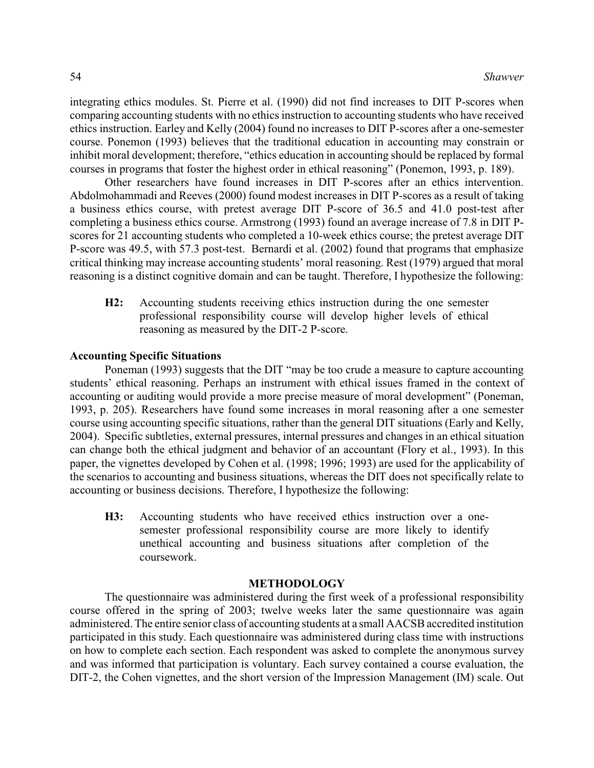integrating ethics modules. St. Pierre et al. (1990) did not find increases to DIT P-scores when comparing accounting students with no ethics instruction to accounting students who have received ethics instruction. Earley and Kelly (2004) found no increases to DIT P-scores after a one-semester course. Ponemon (1993) believes that the traditional education in accounting may constrain or inhibit moral development; therefore, "ethics education in accounting should be replaced by formal courses in programs that foster the highest order in ethical reasoning" (Ponemon, 1993, p. 189).

Other researchers have found increases in DIT P-scores after an ethics intervention. Abdolmohammadi and Reeves (2000) found modest increases in DIT P-scores as a result of taking a business ethics course, with pretest average DIT P-score of 36.5 and 41.0 post-test after completing a business ethics course. Armstrong (1993) found an average increase of 7.8 in DIT Pscores for 21 accounting students who completed a 10-week ethics course; the pretest average DIT P-score was 49.5, with 57.3 post-test. Bernardi et al. (2002) found that programs that emphasize critical thinking may increase accounting students' moral reasoning. Rest (1979) argued that moral reasoning is a distinct cognitive domain and can be taught. Therefore, I hypothesize the following:

**H2:** Accounting students receiving ethics instruction during the one semester professional responsibility course will develop higher levels of ethical reasoning as measured by the DIT-2 P-score.

### **Accounting Specific Situations**

Poneman (1993) suggests that the DIT "may be too crude a measure to capture accounting students' ethical reasoning. Perhaps an instrument with ethical issues framed in the context of accounting or auditing would provide a more precise measure of moral development" (Poneman, 1993, p. 205). Researchers have found some increases in moral reasoning after a one semester course using accounting specific situations, rather than the general DIT situations (Early and Kelly, 2004). Specific subtleties, external pressures, internal pressures and changes in an ethical situation can change both the ethical judgment and behavior of an accountant (Flory et al., 1993). In this paper, the vignettes developed by Cohen et al. (1998; 1996; 1993) are used for the applicability of the scenarios to accounting and business situations, whereas the DIT does not specifically relate to accounting or business decisions. Therefore, I hypothesize the following:

**H3:** Accounting students who have received ethics instruction over a onesemester professional responsibility course are more likely to identify unethical accounting and business situations after completion of the coursework.

#### **METHODOLOGY**

The questionnaire was administered during the first week of a professional responsibility course offered in the spring of 2003; twelve weeks later the same questionnaire was again administered. The entire senior class of accounting students at a small AACSB accredited institution participated in this study. Each questionnaire was administered during class time with instructions on how to complete each section. Each respondent was asked to complete the anonymous survey and was informed that participation is voluntary. Each survey contained a course evaluation, the DIT-2, the Cohen vignettes, and the short version of the Impression Management (IM) scale. Out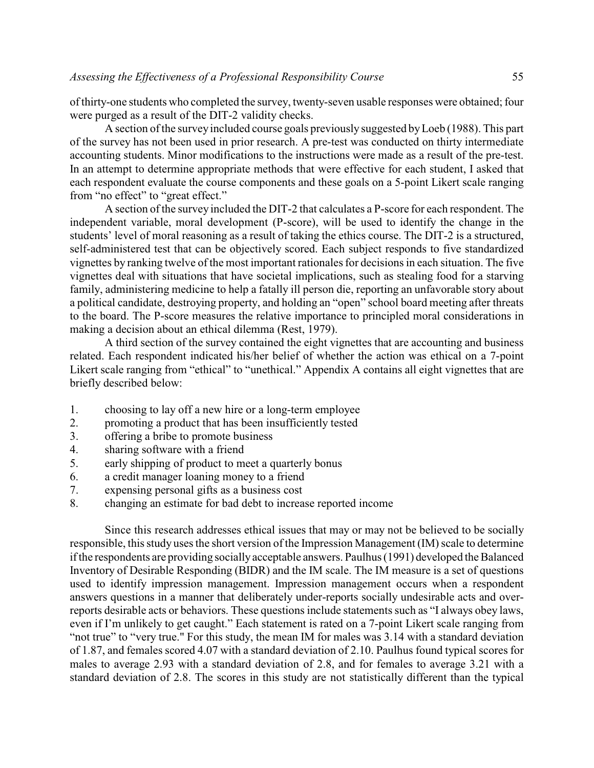of thirty-one students who completed the survey, twenty-seven usable responses were obtained; four were purged as a result of the DIT-2 validity checks.

A section of the surveyincluded course goals previously suggested byLoeb (1988). This part of the survey has not been used in prior research. A pre-test was conducted on thirty intermediate accounting students. Minor modifications to the instructions were made as a result of the pre-test. In an attempt to determine appropriate methods that were effective for each student, I asked that each respondent evaluate the course components and these goals on a 5-point Likert scale ranging from "no effect" to "great effect."

A section of the survey included the DIT-2 that calculates a P-score for each respondent. The independent variable, moral development (P-score), will be used to identify the change in the students' level of moral reasoning as a result of taking the ethics course. The DIT-2 is a structured, self-administered test that can be objectively scored. Each subject responds to five standardized vignettes by ranking twelve of the most important rationales for decisions in each situation. The five vignettes deal with situations that have societal implications, such as stealing food for a starving family, administering medicine to help a fatally ill person die, reporting an unfavorable story about a political candidate, destroying property, and holding an "open" school board meeting after threats to the board. The P-score measures the relative importance to principled moral considerations in making a decision about an ethical dilemma (Rest, 1979).

A third section of the survey contained the eight vignettes that are accounting and business related. Each respondent indicated his/her belief of whether the action was ethical on a 7-point Likert scale ranging from "ethical" to "unethical." Appendix A contains all eight vignettes that are briefly described below:

- 1. choosing to lay off a new hire or a long-term employee
- 2. promoting a product that has been insufficiently tested
- 3. offering a bribe to promote business
- 4. sharing software with a friend
- 5. early shipping of product to meet a quarterly bonus
- 6. a credit manager loaning money to a friend
- 7. expensing personal gifts as a business cost
- 8. changing an estimate for bad debt to increase reported income

Since this research addresses ethical issues that may or may not be believed to be socially responsible, this study uses the short version of the Impression Management (IM) scale to determine if the respondents are providing socially acceptable answers. Paulhus (1991) developed the Balanced Inventory of Desirable Responding (BIDR) and the IM scale. The IM measure is a set of questions used to identify impression management. Impression management occurs when a respondent answers questions in a manner that deliberately under-reports socially undesirable acts and overreports desirable acts or behaviors. These questions include statements such as "I always obey laws, even if I'm unlikely to get caught." Each statement is rated on a 7-point Likert scale ranging from "not true" to "very true." For this study, the mean IM for males was 3.14 with a standard deviation of 1.87, and females scored 4.07 with a standard deviation of 2.10. Paulhus found typical scores for males to average 2.93 with a standard deviation of 2.8, and for females to average 3.21 with a standard deviation of 2.8. The scores in this study are not statistically different than the typical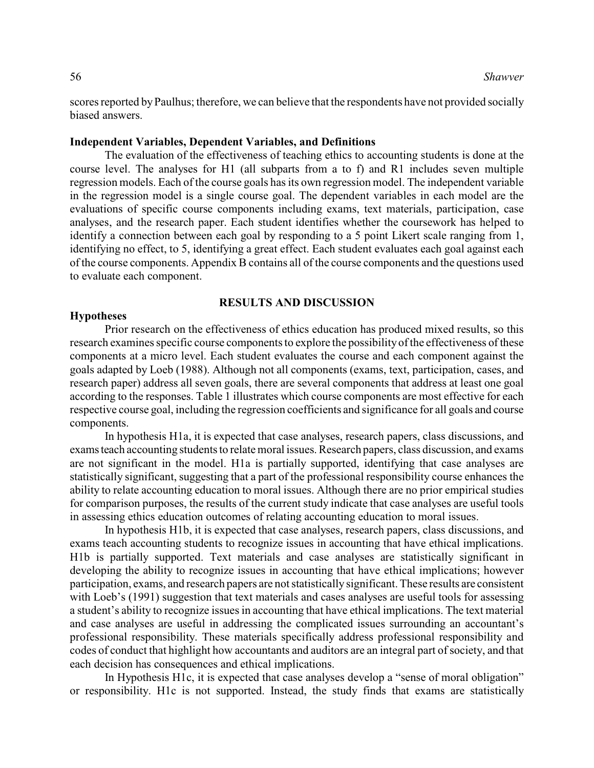scores reported by Paulhus; therefore, we can believe that the respondents have not provided socially biased answers.

### **Independent Variables, Dependent Variables, and Definitions**

The evaluation of the effectiveness of teaching ethics to accounting students is done at the course level. The analyses for H1 (all subparts from a to f) and R1 includes seven multiple regression models. Each of the course goals has its own regression model. The independent variable in the regression model is a single course goal. The dependent variables in each model are the evaluations of specific course components including exams, text materials, participation, case analyses, and the research paper. Each student identifies whether the coursework has helped to identify a connection between each goal by responding to a 5 point Likert scale ranging from 1, identifying no effect, to 5, identifying a great effect. Each student evaluates each goal against each of the course components. Appendix B contains all of the course components and the questions used to evaluate each component.

#### **RESULTS AND DISCUSSION**

#### **Hypotheses**

Prior research on the effectiveness of ethics education has produced mixed results, so this research examines specific course components to explore the possibility of the effectiveness of these components at a micro level. Each student evaluates the course and each component against the goals adapted by Loeb (1988). Although not all components (exams, text, participation, cases, and research paper) address all seven goals, there are several components that address at least one goal according to the responses. Table 1 illustrates which course components are most effective for each respective course goal, including the regression coefficients and significance for all goals and course components.

In hypothesis H1a, it is expected that case analyses, research papers, class discussions, and exams teach accounting students to relate moral issues. Research papers, class discussion, and exams are not significant in the model. H1a is partially supported, identifying that case analyses are statistically significant, suggesting that a part of the professional responsibility course enhances the ability to relate accounting education to moral issues. Although there are no prior empirical studies for comparison purposes, the results of the current study indicate that case analyses are useful tools in assessing ethics education outcomes of relating accounting education to moral issues.

In hypothesis H1b, it is expected that case analyses, research papers, class discussions, and exams teach accounting students to recognize issues in accounting that have ethical implications. H1b is partially supported. Text materials and case analyses are statistically significant in developing the ability to recognize issues in accounting that have ethical implications; however participation, exams, and research papers are not statistically significant. These results are consistent with Loeb's (1991) suggestion that text materials and cases analyses are useful tools for assessing a student's ability to recognize issues in accounting that have ethical implications. The text material and case analyses are useful in addressing the complicated issues surrounding an accountant's professional responsibility. These materials specifically address professional responsibility and codes of conduct that highlight how accountants and auditors are an integral part of society, and that each decision has consequences and ethical implications.

In Hypothesis H1c, it is expected that case analyses develop a "sense of moral obligation" or responsibility. H1c is not supported. Instead, the study finds that exams are statistically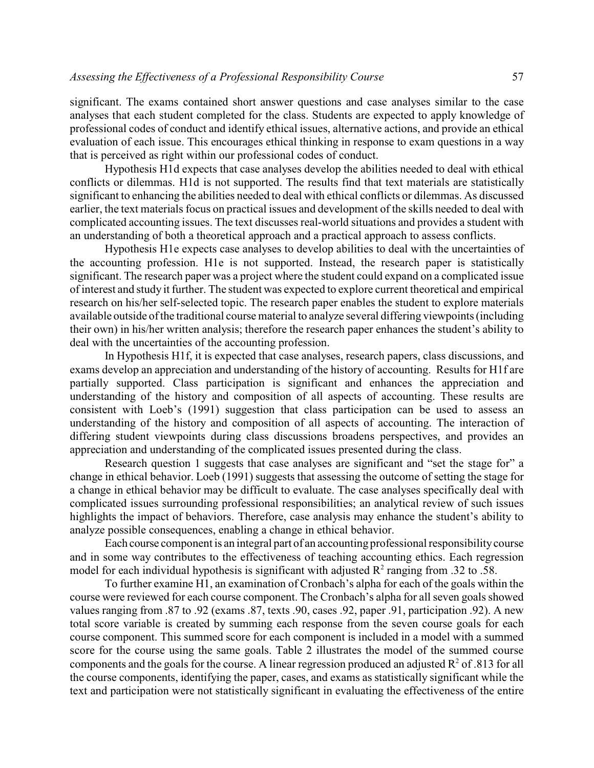significant. The exams contained short answer questions and case analyses similar to the case analyses that each student completed for the class. Students are expected to apply knowledge of professional codes of conduct and identify ethical issues, alternative actions, and provide an ethical evaluation of each issue. This encourages ethical thinking in response to exam questions in a way that is perceived as right within our professional codes of conduct.

Hypothesis H1d expects that case analyses develop the abilities needed to deal with ethical conflicts or dilemmas. H1d is not supported. The results find that text materials are statistically significant to enhancing the abilities needed to deal with ethical conflicts or dilemmas. As discussed earlier, the text materials focus on practical issues and development of the skills needed to deal with complicated accounting issues. The text discusses real-world situations and provides a student with an understanding of both a theoretical approach and a practical approach to assess conflicts.

Hypothesis H1e expects case analyses to develop abilities to deal with the uncertainties of the accounting profession. H1e is not supported. Instead, the research paper is statistically significant. The research paper was a project where the student could expand on a complicated issue of interest and study it further. The student was expected to explore current theoretical and empirical research on his/her self-selected topic. The research paper enables the student to explore materials available outside of the traditional course material to analyze several differing viewpoints (including their own) in his/her written analysis; therefore the research paper enhances the student's ability to deal with the uncertainties of the accounting profession.

In Hypothesis H1f, it is expected that case analyses, research papers, class discussions, and exams develop an appreciation and understanding of the history of accounting. Results for H1f are partially supported. Class participation is significant and enhances the appreciation and understanding of the history and composition of all aspects of accounting. These results are consistent with Loeb's (1991) suggestion that class participation can be used to assess an understanding of the history and composition of all aspects of accounting. The interaction of differing student viewpoints during class discussions broadens perspectives, and provides an appreciation and understanding of the complicated issues presented during the class.

Research question 1 suggests that case analyses are significant and "set the stage for" a change in ethical behavior. Loeb (1991) suggests that assessing the outcome of setting the stage for a change in ethical behavior may be difficult to evaluate. The case analyses specifically deal with complicated issues surrounding professional responsibilities; an analytical review of such issues highlights the impact of behaviors. Therefore, case analysis may enhance the student's ability to analyze possible consequences, enabling a change in ethical behavior.

Each course component is an integral part of an accounting professional responsibility course and in some way contributes to the effectiveness of teaching accounting ethics. Each regression model for each individual hypothesis is significant with adjusted  $\mathbb{R}^2$  ranging from .32 to .58.

To further examine H1, an examination of Cronbach's alpha for each of the goals within the course were reviewed for each course component. The Cronbach's alpha for all seven goals showed values ranging from .87 to .92 (exams .87, texts .90, cases .92, paper .91, participation .92). A new total score variable is created by summing each response from the seven course goals for each course component. This summed score for each component is included in a model with a summed score for the course using the same goals. Table 2 illustrates the model of the summed course components and the goals for the course. A linear regression produced an adjusted  $\mathbb{R}^2$  of .813 for all the course components, identifying the paper, cases, and exams as statistically significant while the text and participation were not statistically significant in evaluating the effectiveness of the entire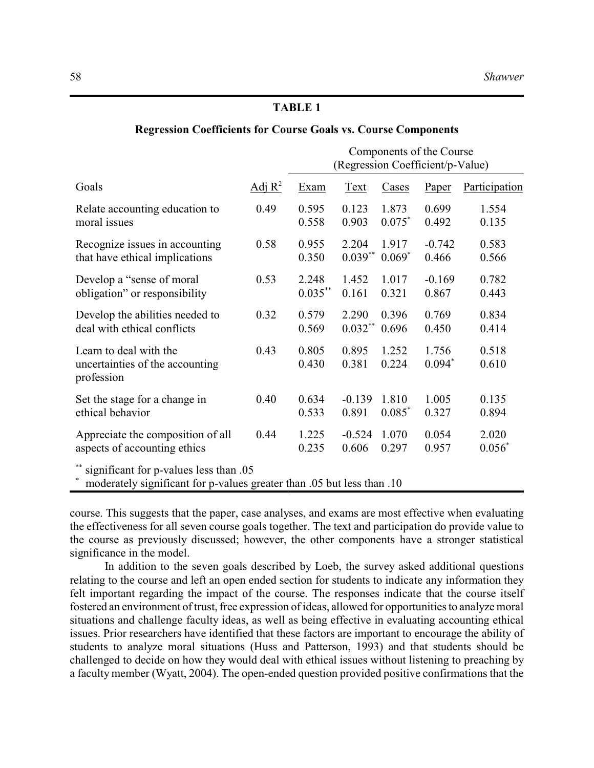### **TABLE 1**

### **Regression Coefficients for Course Goals vs. Course Components**

|                                                                                                                  |           | Components of the Course<br>(Regression Coefficient/p-Value) |                |                |                   |                |  |  |  |  |
|------------------------------------------------------------------------------------------------------------------|-----------|--------------------------------------------------------------|----------------|----------------|-------------------|----------------|--|--|--|--|
| Goals                                                                                                            | Adj $R^2$ | Exam                                                         | <b>Text</b>    | Cases          | Paper             | Participation  |  |  |  |  |
| Relate accounting education to                                                                                   | 0.49      | 0.595                                                        | 0.123          | 1.873          | 0.699             | 1.554          |  |  |  |  |
| moral issues                                                                                                     |           | 0.558                                                        | 0.903          | $0.075*$       | 0.492             | 0.135          |  |  |  |  |
| Recognize issues in accounting                                                                                   | 0.58      | 0.955                                                        | 2.204          | 1.917          | $-0.742$          | 0.583          |  |  |  |  |
| that have ethical implications                                                                                   |           | 0.350                                                        | $0.039**$      | $0.069*$       | 0.466             | 0.566          |  |  |  |  |
| Develop a "sense of moral"                                                                                       | 0.53      | 2.248                                                        | 1.452          | 1.017          | $-0.169$          | 0.782          |  |  |  |  |
| obligation" or responsibility                                                                                    |           | $0.035***$                                                   | 0.161          | 0.321          | 0.867             | 0.443          |  |  |  |  |
| Develop the abilities needed to                                                                                  | 0.32      | 0.579                                                        | 2.290          | 0.396          | 0.769             | 0.834          |  |  |  |  |
| deal with ethical conflicts                                                                                      |           | 0.569                                                        | $0.032***$     | 0.696          | 0.450             | 0.414          |  |  |  |  |
| Learn to deal with the<br>uncertainties of the accounting<br>profession                                          | 0.43      | 0.805<br>0.430                                               | 0.895<br>0.381 | 1.252<br>0.224 | 1.756<br>$0.094*$ | 0.518<br>0.610 |  |  |  |  |
| Set the stage for a change in                                                                                    | 0.40      | 0.634                                                        | $-0.139$       | 1.810          | 1.005             | 0.135          |  |  |  |  |
| ethical behavior                                                                                                 |           | 0.533                                                        | 0.891          | $0.085*$       | 0.327             | 0.894          |  |  |  |  |
| Appreciate the composition of all                                                                                | 0.44      | 1.225                                                        | $-0.524$       | 1.070          | 0.054             | 2.020          |  |  |  |  |
| aspects of accounting ethics                                                                                     |           | 0.235                                                        | 0.606          | 0.297          | 0.957             | $0.056*$       |  |  |  |  |
| significant for p-values less than .05<br>moderately significant for p-values greater than .05 but less than .10 |           |                                                              |                |                |                   |                |  |  |  |  |

course. This suggests that the paper, case analyses, and exams are most effective when evaluating the effectiveness for all seven course goals together. The text and participation do provide value to the course as previously discussed; however, the other components have a stronger statistical significance in the model.

In addition to the seven goals described by Loeb, the survey asked additional questions relating to the course and left an open ended section for students to indicate any information they felt important regarding the impact of the course. The responses indicate that the course itself fostered an environment of trust, free expression of ideas, allowed for opportunities to analyze moral situations and challenge faculty ideas, as well as being effective in evaluating accounting ethical issues. Prior researchers have identified that these factors are important to encourage the ability of students to analyze moral situations (Huss and Patterson, 1993) and that students should be challenged to decide on how they would deal with ethical issues without listening to preaching by a faculty member (Wyatt, 2004). The open-ended question provided positive confirmations that the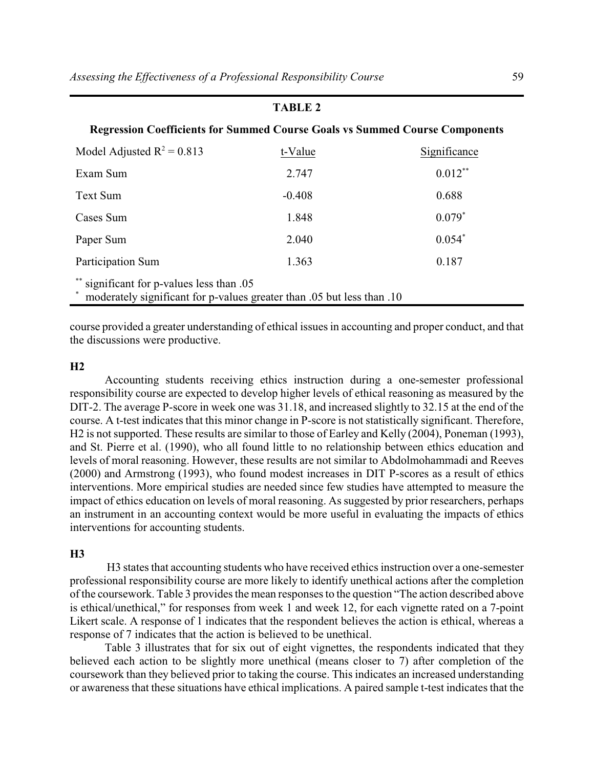### **TABLE 2**

### **Regression Coefficients for Summed Course Goals vs Summed Course Components**

| Model Adjusted $R^2 = 0.813$                                                                                        | t-Value  | Significance |  |  |  |  |  |  |
|---------------------------------------------------------------------------------------------------------------------|----------|--------------|--|--|--|--|--|--|
| Exam Sum                                                                                                            | 2.747    | $0.012***$   |  |  |  |  |  |  |
| Text Sum                                                                                                            | $-0.408$ | 0.688        |  |  |  |  |  |  |
| Cases Sum                                                                                                           | 1.848    | $0.079*$     |  |  |  |  |  |  |
| Paper Sum                                                                                                           | 2.040    | $0.054*$     |  |  |  |  |  |  |
| Participation Sum                                                                                                   | 1.363    | 0.187        |  |  |  |  |  |  |
| ** significant for p-values less than .05<br>moderately significant for p-values greater than .05 but less than .10 |          |              |  |  |  |  |  |  |

course provided a greater understanding of ethical issues in accounting and proper conduct, and that the discussions were productive.

#### **H2**

Accounting students receiving ethics instruction during a one-semester professional responsibility course are expected to develop higher levels of ethical reasoning as measured by the DIT-2. The average P-score in week one was 31.18, and increased slightly to 32.15 at the end of the course. A t-test indicates that this minor change in P-score is not statistically significant. Therefore, H2 is not supported. These results are similar to those of Earley and Kelly (2004), Poneman (1993), and St. Pierre et al. (1990), who all found little to no relationship between ethics education and levels of moral reasoning. However, these results are not similar to Abdolmohammadi and Reeves (2000) and Armstrong (1993), who found modest increases in DIT P-scores as a result of ethics interventions. More empirical studies are needed since few studies have attempted to measure the impact of ethics education on levels of moral reasoning. As suggested by prior researchers, perhaps an instrument in an accounting context would be more useful in evaluating the impacts of ethics interventions for accounting students.

### **H3**

 H3 states that accounting students who have received ethics instruction over a one-semester professional responsibility course are more likely to identify unethical actions after the completion of the coursework. Table 3 provides the mean responses to the question "The action described above is ethical/unethical," for responses from week 1 and week 12, for each vignette rated on a 7-point Likert scale. A response of 1 indicates that the respondent believes the action is ethical, whereas a response of 7 indicates that the action is believed to be unethical.

Table 3 illustrates that for six out of eight vignettes, the respondents indicated that they believed each action to be slightly more unethical (means closer to 7) after completion of the coursework than they believed prior to taking the course. This indicates an increased understanding or awareness that these situations have ethical implications. A paired sample t-test indicates that the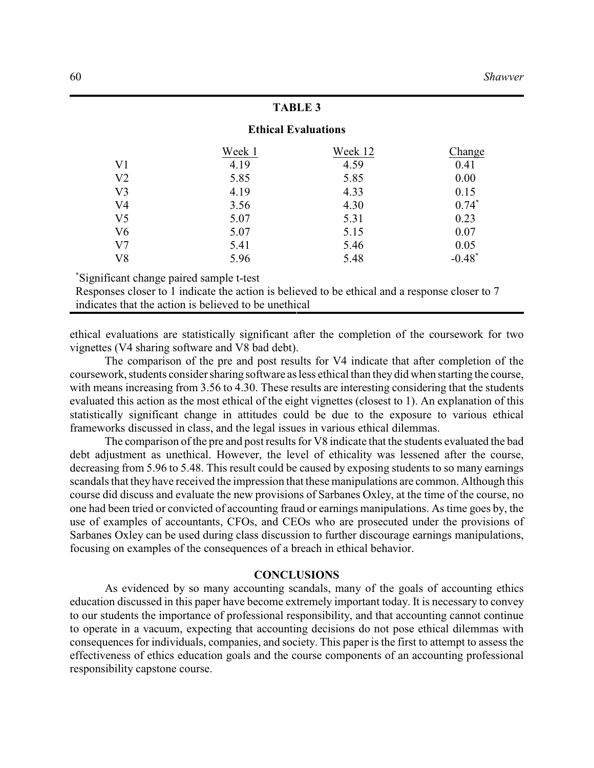### **TABLE 3**

### **Ethical Evaluations**

|                | Week 1 | Week 12 | Change   |
|----------------|--------|---------|----------|
| V <sub>1</sub> | 4.19   | 4.59    | 0.41     |
| V <sub>2</sub> | 5.85   | 5.85    | 0.00     |
| V <sub>3</sub> | 4.19   | 4.33    | 0.15     |
| V <sub>4</sub> | 3.56   | 4.30    | $0.74*$  |
| V <sub>5</sub> | 5.07   | 5.31    | 0.23     |
| V <sub>6</sub> | 5.07   | 5.15    | 0.07     |
| V <sub>7</sub> | 5.41   | 5.46    | 0.05     |
| V8             | 5.96   | 5.48    | $-0.48*$ |

Significant change paired sample t-test \*

Responses closer to 1 indicate the action is believed to be ethical and a response closer to 7 indicates that the action is believed to be unethical

ethical evaluations are statistically significant after the completion of the coursework for two vignettes (V4 sharing software and V8 bad debt).

The comparison of the pre and post results for V4 indicate that after completion of the coursework, students consider sharing software as less ethical than they did when starting the course, with means increasing from 3.56 to 4.30. These results are interesting considering that the students evaluated this action as the most ethical of the eight vignettes (closest to 1). An explanation of this statistically significant change in attitudes could be due to the exposure to various ethical frameworks discussed in class, and the legal issues in various ethical dilemmas.

The comparison of the pre and post results for V8 indicate that the students evaluated the bad debt adjustment as unethical. However, the level of ethicality was lessened after the course, decreasing from 5.96 to 5.48. This result could be caused by exposing students to so many earnings scandals that they have received the impression that these manipulations are common. Although this course did discuss and evaluate the new provisions of Sarbanes Oxley, at the time of the course, no one had been tried or convicted of accounting fraud or earnings manipulations. As time goes by, the use of examples of accountants, CFOs, and CEOs who are prosecuted under the provisions of Sarbanes Oxley can be used during class discussion to further discourage earnings manipulations, focusing on examples of the consequences of a breach in ethical behavior.

#### **CONCLUSIONS**

As evidenced by so many accounting scandals, many of the goals of accounting ethics education discussed in this paper have become extremely important today. It is necessary to convey to our students the importance of professional responsibility, and that accounting cannot continue to operate in a vacuum, expecting that accounting decisions do not pose ethical dilemmas with consequences for individuals, companies, and society. This paper is the first to attempt to assess the effectiveness of ethics education goals and the course components of an accounting professional responsibility capstone course.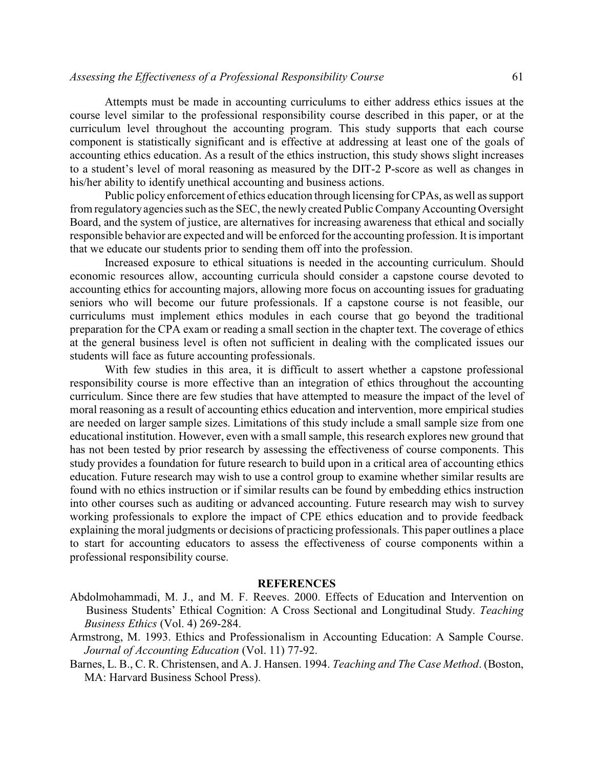### *Assessing the Effectiveness of a Professional Responsibility Course* 61

Attempts must be made in accounting curriculums to either address ethics issues at the course level similar to the professional responsibility course described in this paper, or at the curriculum level throughout the accounting program. This study supports that each course component is statistically significant and is effective at addressing at least one of the goals of accounting ethics education. As a result of the ethics instruction, this study shows slight increases to a student's level of moral reasoning as measured by the DIT-2 P-score as well as changes in his/her ability to identify unethical accounting and business actions.

Public policy enforcement of ethics education through licensing for CPAs, as well as support from regulatory agencies such as the SEC, the newly created Public Company Accounting Oversight Board, and the system of justice, are alternatives for increasing awareness that ethical and socially responsible behavior are expected and will be enforced for the accounting profession. It is important that we educate our students prior to sending them off into the profession.

Increased exposure to ethical situations is needed in the accounting curriculum. Should economic resources allow, accounting curricula should consider a capstone course devoted to accounting ethics for accounting majors, allowing more focus on accounting issues for graduating seniors who will become our future professionals. If a capstone course is not feasible, our curriculums must implement ethics modules in each course that go beyond the traditional preparation for the CPA exam or reading a small section in the chapter text. The coverage of ethics at the general business level is often not sufficient in dealing with the complicated issues our students will face as future accounting professionals.

With few studies in this area, it is difficult to assert whether a capstone professional responsibility course is more effective than an integration of ethics throughout the accounting curriculum. Since there are few studies that have attempted to measure the impact of the level of moral reasoning as a result of accounting ethics education and intervention, more empirical studies are needed on larger sample sizes. Limitations of this study include a small sample size from one educational institution. However, even with a small sample, this research explores new ground that has not been tested by prior research by assessing the effectiveness of course components. This study provides a foundation for future research to build upon in a critical area of accounting ethics education. Future research may wish to use a control group to examine whether similar results are found with no ethics instruction or if similar results can be found by embedding ethics instruction into other courses such as auditing or advanced accounting. Future research may wish to survey working professionals to explore the impact of CPE ethics education and to provide feedback explaining the moral judgments or decisions of practicing professionals. This paper outlines a place to start for accounting educators to assess the effectiveness of course components within a professional responsibility course.

### **REFERENCES**

- Abdolmohammadi, M. J., and M. F. Reeves. 2000. Effects of Education and Intervention on Business Students' Ethical Cognition: A Cross Sectional and Longitudinal Study. *Teaching Business Ethics* (Vol. 4) 269-284.
- Armstrong, M. 1993. Ethics and Professionalism in Accounting Education: A Sample Course. *Journal of Accounting Education* (Vol. 11) 77-92.
- Barnes, L. B., C. R. Christensen, and A. J. Hansen. 1994. *Teaching and The Case Method*. (Boston, MA: Harvard Business School Press).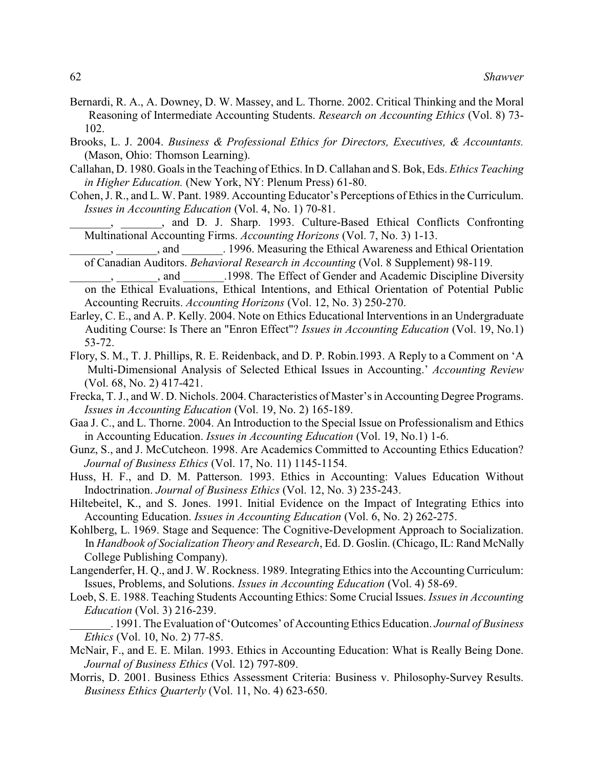- Bernardi, R. A., A. Downey, D. W. Massey, and L. Thorne. 2002. Critical Thinking and the Moral Reasoning of Intermediate Accounting Students. *Research on Accounting Ethics* (Vol. 8) 73- 102.
- Brooks, L. J. 2004. *Business & Professional Ethics for Directors, Executives, & Accountants.* (Mason, Ohio: Thomson Learning).
- Callahan, D. 1980. Goals in the Teaching of Ethics. In D. Callahan and S. Bok, Eds. *Ethics Teaching in Higher Education.* (New York, NY: Plenum Press) 61-80.
- Cohen, J. R., and L. W. Pant. 1989. Accounting Educator's Perceptions of Ethics in the Curriculum. *Issues in Accounting Education* (Vol. 4, No. 1) 70-81.

\_\_\_\_\_\_\_, \_\_\_\_\_\_\_, and D. J. Sharp. 1993. Culture-Based Ethical Conflicts Confronting Multinational Accounting Firms. *Accounting Horizons* (Vol. 7, No. 3) 1-13.

\_\_\_\_\_\_\_, \_\_\_\_\_\_\_, and \_\_\_\_\_\_\_. 1996. Measuring the Ethical Awareness and Ethical Orientation of Canadian Auditors. *Behavioral Research in Accounting* (Vol. 8 Supplement) 98-119.

- , and  $\qquad$  .1998. The Effect of Gender and Academic Discipline Diversity on the Ethical Evaluations, Ethical Intentions, and Ethical Orientation of Potential Public Accounting Recruits. *Accounting Horizons* (Vol. 12, No. 3) 250-270.
- Earley, C. E., and A. P. Kelly. 2004. Note on Ethics Educational Interventions in an Undergraduate Auditing Course: Is There an "Enron Effect"? *Issues in Accounting Education* (Vol. 19, No.1) 53-72.
- Flory, S. M., T. J. Phillips, R. E. Reidenback, and D. P. Robin.1993. A Reply to a Comment on 'A Multi-Dimensional Analysis of Selected Ethical Issues in Accounting.' *Accounting Review* (Vol. 68, No. 2) 417-421.
- Frecka, T. J., and W. D. Nichols. 2004. Characteristics of Master's in Accounting Degree Programs. *Issues in Accounting Education* (Vol. 19, No. 2) 165-189.
- Gaa J. C., and L. Thorne. 2004. An Introduction to the Special Issue on Professionalism and Ethics in Accounting Education. *Issues in Accounting Education* (Vol. 19, No.1) 1-6.
- Gunz, S., and J. McCutcheon. 1998. Are Academics Committed to Accounting Ethics Education? *Journal of Business Ethics* (Vol. 17, No. 11) 1145-1154.
- Huss, H. F., and D. M. Patterson. 1993. Ethics in Accounting: Values Education Without Indoctrination. *Journal of Business Ethics* (Vol. 12, No. 3) 235-243.
- Hiltebeitel, K., and S. Jones. 1991. Initial Evidence on the Impact of Integrating Ethics into Accounting Education. *Issues in Accounting Education* (Vol. 6, No. 2) 262-275.
- Kohlberg, L. 1969. Stage and Sequence: The Cognitive-Development Approach to Socialization. In *Handbook of Socialization Theory and Research*, Ed. D. Goslin. (Chicago, IL: Rand McNally College Publishing Company).
- Langenderfer, H. Q., and J. W. Rockness. 1989. Integrating Ethics into the Accounting Curriculum: Issues, Problems, and Solutions. *Issues in Accounting Education* (Vol. 4) 58-69.
- Loeb, S. E. 1988. Teaching Students Accounting Ethics: Some Crucial Issues. *Issues in Accounting Education* (Vol. 3) 216-239.
- \_\_\_\_\_\_\_. 1991. The Evaluation of 'Outcomes' of Accounting Ethics Education. *Journal of Business Ethics* (Vol. 10, No. 2) 77-85.
- McNair, F., and E. E. Milan. 1993. Ethics in Accounting Education: What is Really Being Done. *Journal of Business Ethics* (Vol. 12) 797-809.
- Morris, D. 2001. Business Ethics Assessment Criteria: Business v. Philosophy-Survey Results. *Business Ethics Quarterly* (Vol. 11, No. 4) 623-650.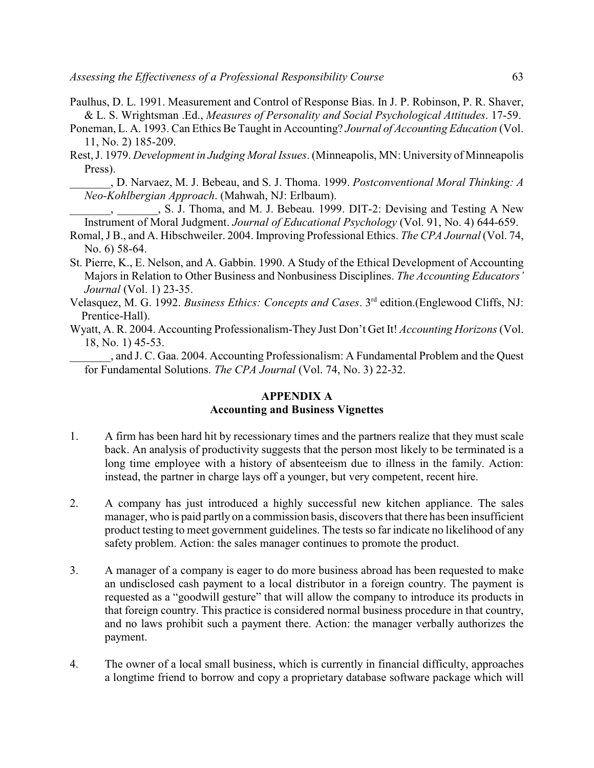- Paulhus, D. L. 1991. Measurement and Control of Response Bias. In J. P. Robinson, P. R. Shaver, & L. S. Wrightsman .Ed., *Measures of Personality and Social Psychological Attitudes*. 17-59.
- Poneman, L. A. 1993. Can Ethics Be Taught in Accounting? *Journal of Accounting Education* (Vol. 11, No. 2) 185-209.
- Rest, J. 1979. *Development in Judging Moral Issues*. (Minneapolis, MN: University of Minneapolis Press).

\_\_\_\_\_\_\_, D. Narvaez, M. J. Bebeau, and S. J. Thoma. 1999. *Postconventional Moral Thinking: A Neo-Kohlbergian Approach*. (Mahwah, NJ: Erlbaum).

\_\_\_\_\_\_\_, \_\_\_\_\_\_\_, S. J. Thoma, and M. J. Bebeau. 1999. DIT-2: Devising and Testing A New Instrument of Moral Judgment. *Journal of Educational Psychology* (Vol. 91, No. 4) 644-659.

- Romal, J B., and A. Hibschweiler. 2004. Improving Professional Ethics. *The CPA Journal* (Vol. 74, No. 6) 58-64.
- St. Pierre, K., E. Nelson, and A. Gabbin. 1990. A Study of the Ethical Development of Accounting Majors in Relation to Other Business and Nonbusiness Disciplines. *The Accounting Educators' Journal* (Vol. 1) 23-35.
- Velasquez, M. G. 1992. *Business Ethics: Concepts and Cases*. 3<sup>rd</sup> edition.(Englewood Cliffs, NJ: Prentice-Hall).
- Wyatt, A. R. 2004. Accounting Professionalism-They Just Don't Get It! *Accounting Horizons* (Vol. 18, No. 1) 45-53.

\_\_\_\_\_\_\_, and J. C. Gaa. 2004. Accounting Professionalism: A Fundamental Problem and the Quest for Fundamental Solutions. *The CPA Journal* (Vol. 74, No. 3) 22-32.

### **APPENDIX A Accounting and Business Vignettes**

- 1. A firm has been hard hit by recessionary times and the partners realize that they must scale back. An analysis of productivity suggests that the person most likely to be terminated is a long time employee with a history of absenteeism due to illness in the family. Action: instead, the partner in charge lays off a younger, but very competent, recent hire.
- 2. A company has just introduced a highly successful new kitchen appliance. The sales manager, who is paid partly on a commission basis, discovers that there has been insufficient product testing to meet government guidelines. The tests so far indicate no likelihood of any safety problem. Action: the sales manager continues to promote the product.
- 3. A manager of a company is eager to do more business abroad has been requested to make an undisclosed cash payment to a local distributor in a foreign country. The payment is requested as a "goodwill gesture" that will allow the company to introduce its products in that foreign country. This practice is considered normal business procedure in that country, and no laws prohibit such a payment there. Action: the manager verbally authorizes the payment.
- 4. The owner of a local small business, which is currently in financial difficulty, approaches a longtime friend to borrow and copy a proprietary database software package which will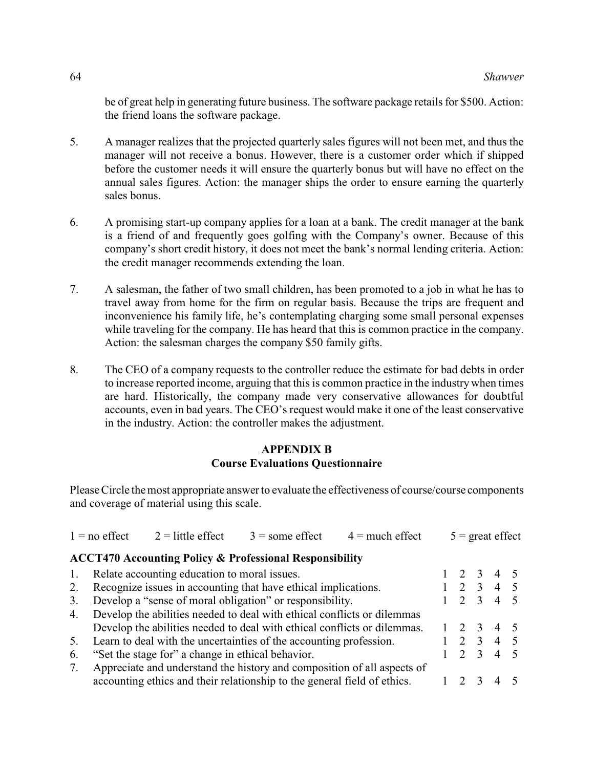be of great help in generating future business. The software package retails for \$500. Action: the friend loans the software package.

- 5. A manager realizes that the projected quarterly sales figures will not been met, and thus the manager will not receive a bonus. However, there is a customer order which if shipped before the customer needs it will ensure the quarterly bonus but will have no effect on the annual sales figures. Action: the manager ships the order to ensure earning the quarterly sales bonus.
- 6. A promising start-up company applies for a loan at a bank. The credit manager at the bank is a friend of and frequently goes golfing with the Company's owner. Because of this company's short credit history, it does not meet the bank's normal lending criteria. Action: the credit manager recommends extending the loan.
- 7. A salesman, the father of two small children, has been promoted to a job in what he has to travel away from home for the firm on regular basis. Because the trips are frequent and inconvenience his family life, he's contemplating charging some small personal expenses while traveling for the company. He has heard that this is common practice in the company. Action: the salesman charges the company \$50 family gifts.
- 8. The CEO of a company requests to the controller reduce the estimate for bad debts in order to increase reported income, arguing that this is common practice in the industry when times are hard. Historically, the company made very conservative allowances for doubtful accounts, even in bad years. The CEO's request would make it one of the least conservative in the industry. Action: the controller makes the adjustment.

### **APPENDIX B Course Evaluations Questionnaire**

Please Circle the most appropriate answer to evaluate the effectiveness of course/course components and coverage of material using this scale.

|    | $1 = no$ effect                                                | $2 =$ little effect                               | $3 =$ some effect                                                        | $4 =$ much effect |  | $5 =$ great effect |                                  |                  |  |
|----|----------------------------------------------------------------|---------------------------------------------------|--------------------------------------------------------------------------|-------------------|--|--------------------|----------------------------------|------------------|--|
|    |                                                                |                                                   | <b>ACCT470 Accounting Policy &amp; Professional Responsibility</b>       |                   |  |                    |                                  |                  |  |
| 1. | Relate accounting education to moral issues.                   |                                                   |                                                                          |                   |  |                    |                                  | 2 3 4 5          |  |
|    | Recognize issues in accounting that have ethical implications. |                                                   |                                                                          |                   |  |                    | $\overline{3}$<br>2 <sup>1</sup> | 4 5              |  |
| 3. |                                                                |                                                   | Develop a "sense of moral obligation" or responsibility.                 |                   |  | 2                  | 3                                | 4 5              |  |
| 4. |                                                                |                                                   | Develop the abilities needed to deal with ethical conflicts or dilemmas  |                   |  |                    |                                  |                  |  |
|    |                                                                |                                                   | Develop the abilities needed to deal with ethical conflicts or dilemmas. |                   |  | $\overline{2}$     | $\overline{\mathbf{3}}$          | $4 \overline{5}$ |  |
| 5. |                                                                |                                                   | Learn to deal with the uncertainties of the accounting profession.       |                   |  | $\mathcal{D}$      | $\mathcal{E}$                    | $4\quad 5$       |  |
| 6. |                                                                | "Set the stage for" a change in ethical behavior. |                                                                          |                   |  |                    | $\mathcal{E}$                    | $4 \quad 5$      |  |
|    |                                                                |                                                   | Appreciate and understand the history and composition of all aspects of  |                   |  |                    |                                  |                  |  |
|    |                                                                |                                                   | accounting ethics and their relationship to the general field of ethics. |                   |  |                    | $\mathcal{R}$                    | 4                |  |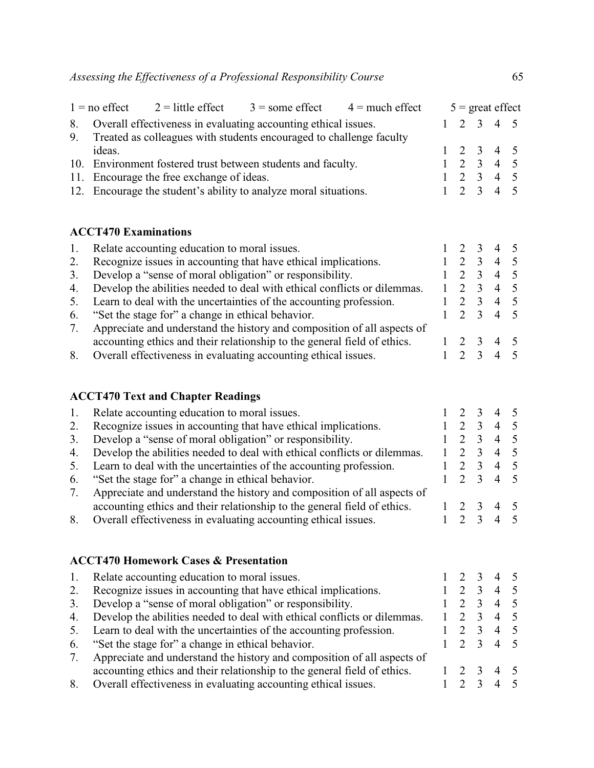|    |                                                                     | $1 =$ no effect $2 =$ little effect | $3 =$ some effect $4 =$ much effect                              |  |  | $5 =$ great effect  |  |  |
|----|---------------------------------------------------------------------|-------------------------------------|------------------------------------------------------------------|--|--|---------------------|--|--|
|    | 8. Overall effectiveness in evaluating accounting ethical issues.   |                                     |                                                                  |  |  | $1 \t2 \t3 \t4 \t5$ |  |  |
| 9. | Treated as colleagues with students encouraged to challenge faculty |                                     |                                                                  |  |  |                     |  |  |
|    | ideas.                                                              |                                     |                                                                  |  |  | $1 \t2 \t3 \t4 \t5$ |  |  |
|    | 10. Environment fostered trust between students and faculty.        |                                     |                                                                  |  |  | $1 \t2 \t3 \t4 \t5$ |  |  |
|    | 11. Encourage the free exchange of ideas.                           |                                     |                                                                  |  |  | $1 \t2 \t3 \t4 \t5$ |  |  |
|    |                                                                     |                                     | 12. Encourage the student's ability to analyze moral situations. |  |  | $1 \t2 \t3 \t4 \t5$ |  |  |
|    |                                                                     |                                     |                                                                  |  |  |                     |  |  |

# **ACCT470 Examinations**

|    | Relate accounting education to moral issues.                             |  |                          |  |
|----|--------------------------------------------------------------------------|--|--------------------------|--|
| 2. | Recognize issues in accounting that have ethical implications.           |  |                          |  |
| 3. | Develop a "sense of moral obligation" or responsibility.                 |  | $\overline{4}$           |  |
| 4. | Develop the abilities needed to deal with ethical conflicts or dilemmas. |  | $\boldsymbol{\varDelta}$ |  |
| 5. | Learn to deal with the uncertainties of the accounting profession.       |  |                          |  |
|    | 6. "Set the stage for" a change in ethical behavior.                     |  |                          |  |
| 7. | Appreciate and understand the history and composition of all aspects of  |  |                          |  |
|    | accounting ethics and their relationship to the general field of ethics. |  |                          |  |
| 8. | Overall effectiveness in evaluating accounting ethical issues.           |  |                          |  |
|    |                                                                          |  |                          |  |

# **ACCT470 Text and Chapter Readings**

|    | Relate accounting education to moral issues.                             |  | 4 5 |          |
|----|--------------------------------------------------------------------------|--|-----|----------|
| 2. | Recognize issues in accounting that have ethical implications.           |  |     | $\sim$ 5 |
| 3. | Develop a "sense of moral obligation" or responsibility.                 |  | 4 5 |          |
| 4. | Develop the abilities needed to deal with ethical conflicts or dilemmas. |  | 4 5 |          |
| 5. | Learn to deal with the uncertainties of the accounting profession.       |  | 4 5 |          |
| 6. | "Set the stage for" a change in ethical behavior.                        |  |     |          |
| 7. | Appreciate and understand the history and composition of all aspects of  |  |     |          |
|    | accounting ethics and their relationship to the general field of ethics. |  |     |          |
| 8. | Overall effectiveness in evaluating accounting ethical issues.           |  |     |          |
|    |                                                                          |  |     |          |

## **ACCT470 Homework Cases & Presentation**

|    | Relate accounting education to moral issues.                             |  |                          |  |
|----|--------------------------------------------------------------------------|--|--------------------------|--|
| 2. | Recognize issues in accounting that have ethical implications.           |  |                          |  |
| 3. | Develop a "sense of moral obligation" or responsibility.                 |  | $\boldsymbol{\varDelta}$ |  |
| 4. | Develop the abilities needed to deal with ethical conflicts or dilemmas. |  | $\overline{4}$           |  |
| 5. | Learn to deal with the uncertainties of the accounting profession.       |  | $\overline{4}$           |  |
| 6. | "Set the stage for" a change in ethical behavior.                        |  |                          |  |
| 7. | Appreciate and understand the history and composition of all aspects of  |  |                          |  |
|    | accounting ethics and their relationship to the general field of ethics. |  |                          |  |
| 8. | Overall effectiveness in evaluating accounting ethical issues.           |  |                          |  |
|    |                                                                          |  |                          |  |